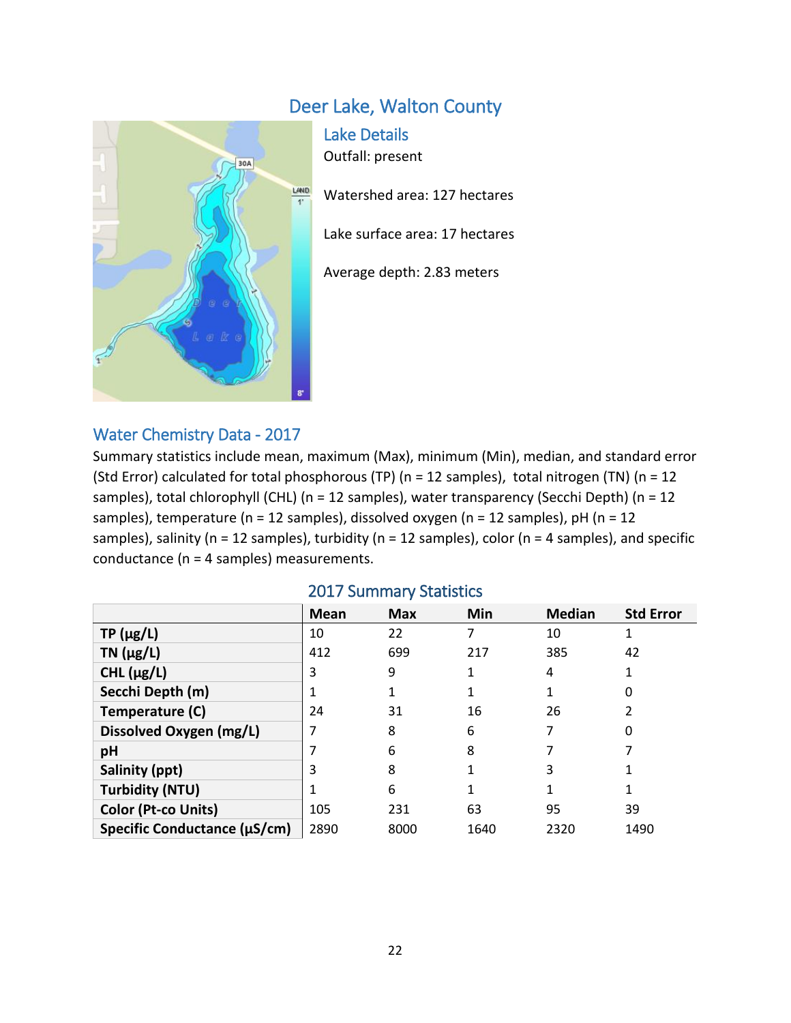# Deer Lake, Walton County



Lake Details Outfall: present

Watershed area: 127 hectares

Lake surface area: 17 hectares

Average depth: 2.83 meters

### Water Chemistry Data - 2017

Summary statistics include mean, maximum (Max), minimum (Min), median, and standard error (Std Error) calculated for total phosphorous (TP) (n = 12 samples), total nitrogen (TN) (n = 12 samples), total chlorophyll (CHL) (n = 12 samples), water transparency (Secchi Depth) (n = 12 samples), temperature (n = 12 samples), dissolved oxygen (n = 12 samples), pH (n = 12 samples), salinity ( $n = 12$  samples), turbidity ( $n = 12$  samples), color ( $n = 4$  samples), and specific conductance (n = 4 samples) measurements.

|                              | Mean | <b>Max</b> | Min  | <b>Median</b> | <b>Std Error</b> |
|------------------------------|------|------------|------|---------------|------------------|
| $TP(\mu g/L)$                | 10   | 22         | 7    | 10            |                  |
| TN $(\mu g/L)$               | 412  | 699        | 217  | 385           | 42               |
| CHL $(\mu g/L)$              | 3    | 9          | 1    | 4             |                  |
| Secchi Depth (m)             |      |            |      |               | 0                |
| Temperature (C)              | 24   | 31         | 16   | 26            |                  |
| Dissolved Oxygen (mg/L)      |      | 8          | 6    | 7             | 0                |
| pH                           |      | 6          | 8    |               |                  |
| Salinity (ppt)               | 3    | 8          |      | 3             |                  |
| <b>Turbidity (NTU)</b>       |      | 6          |      |               |                  |
| Color (Pt-co Units)          | 105  | 231        | 63   | 95            | 39               |
| Specific Conductance (µS/cm) | 2890 | 8000       | 1640 | 2320          | 1490             |

#### 2017 Summary Statistics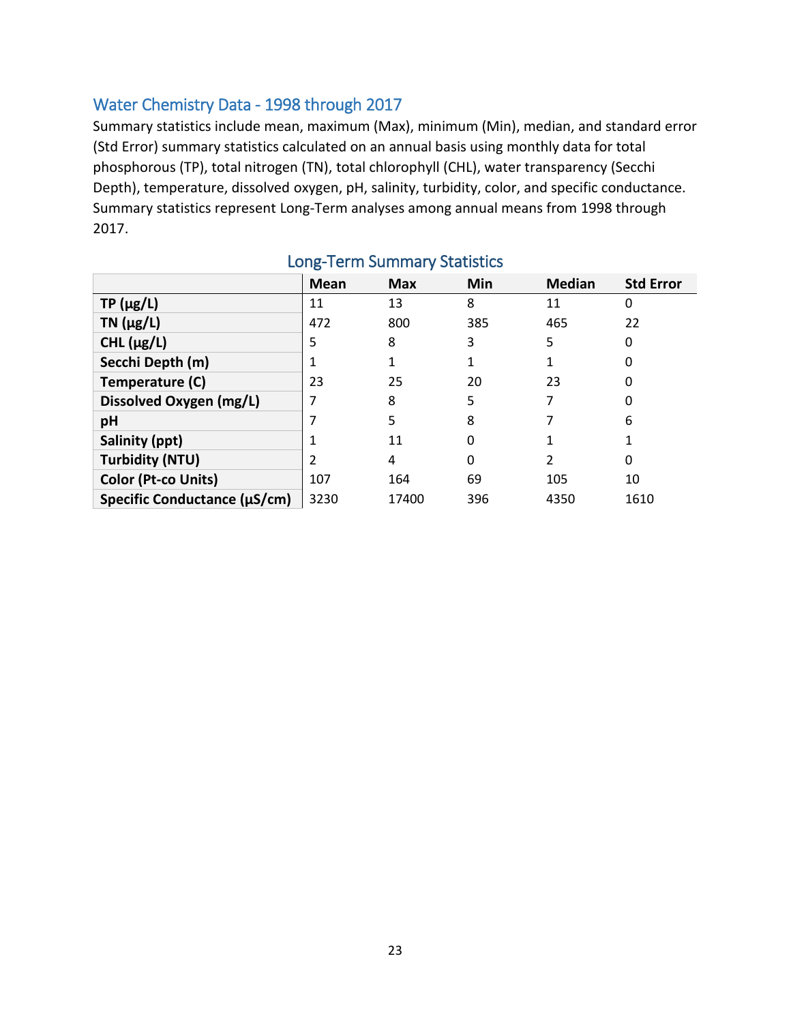# Water Chemistry Data - 1998 through 2017

Summary statistics include mean, maximum (Max), minimum (Min), median, and standard error (Std Error) summary statistics calculated on an annual basis using monthly data for total phosphorous (TP), total nitrogen (TN), total chlorophyll (CHL), water transparency (Secchi Depth), temperature, dissolved oxygen, pH, salinity, turbidity, color, and specific conductance. Summary statistics represent Long-Term analyses among annual means from 1998 through 2017.

|                              | <b>Mean</b> | <b>Max</b> | Min | <b>Median</b> | <b>Std Error</b> |
|------------------------------|-------------|------------|-----|---------------|------------------|
| $TP(\mu g/L)$                | 11          | 13         | 8   | 11            | 0                |
| TN $(\mu g/L)$               | 472         | 800        | 385 | 465           | 22               |
| CHL $(\mu g/L)$              | 5           | 8          | 3   | 5             | 0                |
| Secchi Depth (m)             |             |            |     | 1             |                  |
| Temperature (C)              | 23          | 25         | 20  | 23            | 0                |
| Dissolved Oxygen (mg/L)      |             | 8          | 5   | 7             |                  |
| pH                           |             | 5          | 8   |               | 6                |
| Salinity (ppt)               |             | 11         | 0   |               |                  |
| <b>Turbidity (NTU)</b>       | 2           | 4          | 0   | 2             | 0                |
| Color (Pt-co Units)          | 107         | 164        | 69  | 105           | 10               |
| Specific Conductance (µS/cm) | 3230        | 17400      | 396 | 4350          | 1610             |

# Long-Term Summary Statistics